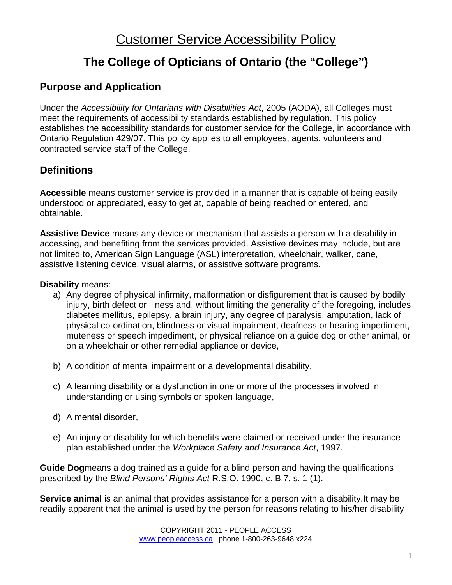# **The College of Opticians of Ontario (the "College")**

### **Purpose and Application**

Under the *Accessibility for Ontarians with Disabilities Act*, 2005 (AODA), all Colleges must meet the requirements of accessibility standards established by regulation. This policy establishes the accessibility standards for customer service for the College, in accordance with Ontario Regulation 429/07. This policy applies to all employees, agents, volunteers and contracted service staff of the College.

## **Definitions**

**Accessible** means customer service is provided in a manner that is capable of being easily understood or appreciated, easy to get at, capable of being reached or entered, and obtainable.

**Assistive Device** means any device or mechanism that assists a person with a disability in accessing, and benefiting from the services provided. Assistive devices may include, but are not limited to, American Sign Language (ASL) interpretation, wheelchair, walker, cane, assistive listening device, visual alarms, or assistive software programs.

#### **Disability** means:

- a) Any degree of physical infirmity, malformation or disfigurement that is caused by bodily injury, birth defect or illness and, without limiting the generality of the foregoing, includes diabetes mellitus, epilepsy, a brain injury, any degree of paralysis, amputation, lack of physical co-ordination, blindness or visual impairment, deafness or hearing impediment, muteness or speech impediment, or physical reliance on a guide dog or other animal, or on a wheelchair or other remedial appliance or device,
- b) A condition of mental impairment or a developmental disability,
- c) A learning disability or a dysfunction in one or more of the processes involved in understanding or using symbols or spoken language,
- d) A mental disorder,
- e) An injury or disability for which benefits were claimed or received under the insurance plan established under the *Workplace Safety and Insurance Act*, 1997.

**Guide Dog**means a dog trained as a guide for a blind person and having the qualifications prescribed by the *Blind Persons' Rights Act* R.S.O. 1990, c. B.7, s. 1 (1).

**Service animal** is an animal that provides assistance for a person with a disability.It may be readily apparent that the animal is used by the person for reasons relating to his/her disability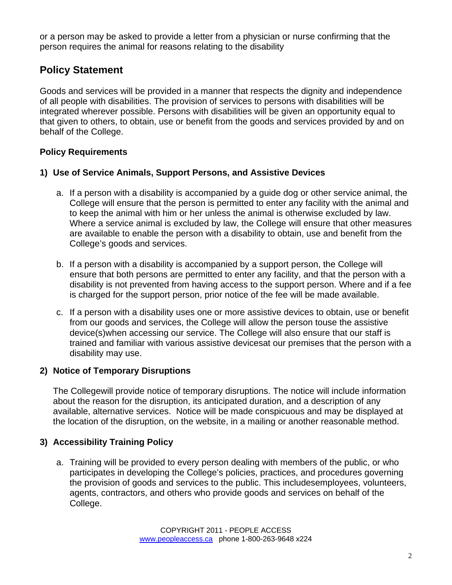or a person may be asked to provide a letter from a physician or nurse confirming that the person requires the animal for reasons relating to the disability

## **Policy Statement**

Goods and services will be provided in a manner that respects the dignity and independence of all people with disabilities. The provision of services to persons with disabilities will be integrated wherever possible. Persons with disabilities will be given an opportunity equal to that given to others, to obtain, use or benefit from the goods and services provided by and on behalf of the College.

#### **Policy Requirements**

#### **1) Use of Service Animals, Support Persons, and Assistive Devices**

- a. If a person with a disability is accompanied by a guide dog or other service animal, the College will ensure that the person is permitted to enter any facility with the animal and to keep the animal with him or her unless the animal is otherwise excluded by law. Where a service animal is excluded by law, the College will ensure that other measures are available to enable the person with a disability to obtain, use and benefit from the College's goods and services.
- b. If a person with a disability is accompanied by a support person, the College will ensure that both persons are permitted to enter any facility, and that the person with a disability is not prevented from having access to the support person. Where and if a fee is charged for the support person, prior notice of the fee will be made available.
- c. If a person with a disability uses one or more assistive devices to obtain, use or benefit from our goods and services, the College will allow the person touse the assistive device(s)when accessing our service. The College will also ensure that our staff is trained and familiar with various assistive devicesat our premises that the person with a disability may use.

#### **2) Notice of Temporary Disruptions**

The Collegewill provide notice of temporary disruptions. The notice will include information about the reason for the disruption, its anticipated duration, and a description of any available, alternative services. Notice will be made conspicuous and may be displayed at the location of the disruption, on the website, in a mailing or another reasonable method.

#### **3) Accessibility Training Policy**

a. Training will be provided to every person dealing with members of the public, or who participates in developing the College's policies, practices, and procedures governing the provision of goods and services to the public. This includesemployees, volunteers, agents, contractors, and others who provide goods and services on behalf of the College.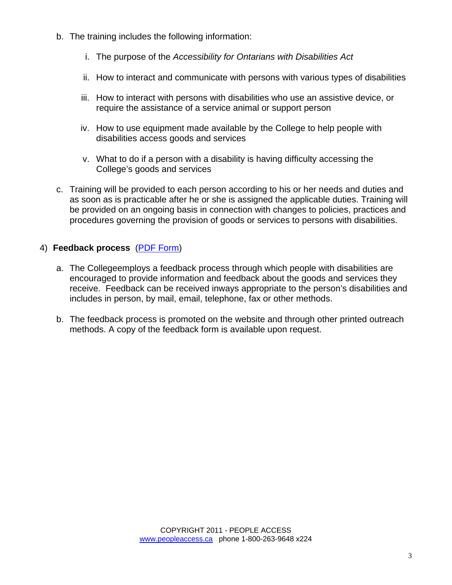- b. The training includes the following information:
	- i. The purpose of the *Accessibility for Ontarians with Disabilities Act*
	- ii. How to interact and communicate with persons with various types of disabilities
	- iii. How to interact with persons with disabilities who use an assistive device, or require the assistance of a service animal or support person
	- iv. How to use equipment made available by the College to help people with disabilities access goods and services
	- v. What to do if a person with a disability is having difficulty accessing the College's goods and services
- c. Training will be provided to each person according to his or her needs and duties and as soon as is practicable after he or she is assigned the applicable duties. Training will be provided on an ongoing basis in connection with changes to policies, practices and procedures governing the provision of goods or services to persons with disabilities.

#### 4) **Feedback process** [\(PDF Form\)](http://www.coptont.org/RESOURCE/PDF/AODA-Feedback-Form-from-Accessibility-Policy-2012.pdf)

- a. The Collegeemploys a feedback process through which people with disabilities are encouraged to provide information and feedback about the goods and services they receive. Feedback can be received inways appropriate to the person's disabilities and includes in person, by mail, email, telephone, fax or other methods.
- b. The feedback process is promoted on the website and through other printed outreach methods. A copy of the feedback form is available upon request.